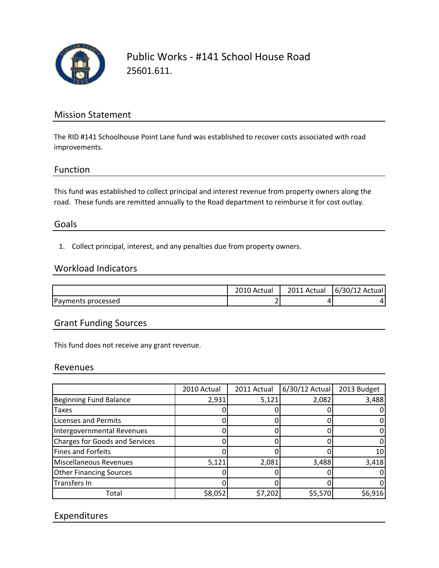

Public Works ‐ #141 School House Road 25601.611.

# Mission Statement

The RID #141 Schoolhouse Point Lane fund was established to recover costs associated with road improvements.

### Function

This fund was established to collect principal and interest revenue from property owners along the road. These funds are remitted annually to the Road department to reimburse it for cost outlay.

## Goals

1. Collect principal, interest, and any penalties due from property owners.

### Workload Indicators

|                    | . Actual      | 2011 Actual | 6/30/12 Actual |
|--------------------|---------------|-------------|----------------|
| Payments processed | -<br><u>.</u> |             |                |

## Grant Funding Sources

This fund does not receive any grant revenue.

### Revenues

|                                | 2010 Actual | 2011 Actual | $6/30/12$ Actual | 2013 Budget |
|--------------------------------|-------------|-------------|------------------|-------------|
| <b>Beginning Fund Balance</b>  | 2,931       | 5,121       | 2,082            | 3,488       |
| <b>Taxes</b>                   |             |             |                  |             |
| <b>Licenses and Permits</b>    |             |             |                  |             |
| Intergovernmental Revenues     |             |             |                  |             |
| Charges for Goods and Services |             |             |                  |             |
| Fines and Forfeits             |             |             |                  | 10          |
| Miscellaneous Revenues         | 5,121       | 2,081       | 3,488            | 3,418       |
| <b>Other Financing Sources</b> |             |             |                  |             |
| Transfers In                   |             |             |                  |             |
| Total                          | \$8,052     | \$7,202     | \$5,570          | \$6,916     |

# Expenditures